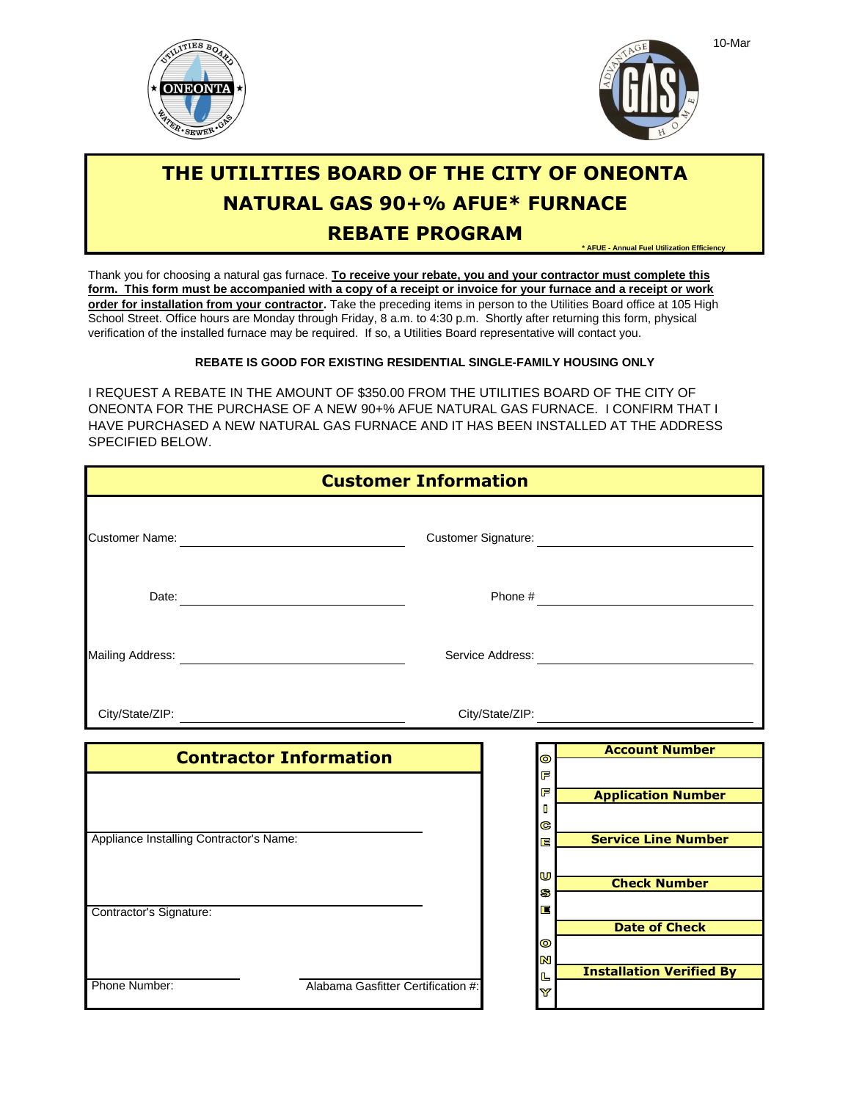



# **THE UTILITIES BOARD OF THE CITY OF ONEONTA NATURAL GAS 90+% AFUE\* FURNACE \* AFUE - Annual Fuel Utilization Efficiency REBATE PROGRAM**

School Street. Office hours are Monday through Friday, 8 a.m. to 4:30 p.m. Shortly after returning this form, physical Thank you for choosing a natural gas furnace. **To receive your rebate, you and your contractor must complete this form. This form must be accompanied with a copy of a receipt or invoice for your furnace and a receipt or work order for installation from your contractor.** Take the preceding items in person to the Utilities Board office at 105 High verification of the installed furnace may be required. If so, a Utilities Board representative will contact you.

### **REBATE IS GOOD FOR EXISTING RESIDENTIAL SINGLE-FAMILY HOUSING ONLY**

SPECIFIED BELOW. I REQUEST A REBATE IN THE AMOUNT OF \$350.00 FROM THE UTILITIES BOARD OF THE CITY OF ONEONTA FOR THE PURCHASE OF A NEW 90+% AFUE NATURAL GAS FURNACE. I CONFIRM THAT I HAVE PURCHASED A NEW NATURAL GAS FURNACE AND IT HAS BEEN INSTALLED AT THE ADDRESS

| <b>Customer Information</b>             |                                                                                   |
|-----------------------------------------|-----------------------------------------------------------------------------------|
|                                         | Customer Signature: <b>Customer Signature:</b>                                    |
|                                         |                                                                                   |
|                                         | Service Address: New York 1997                                                    |
|                                         | City/State/ZIP: \\square\\square\\square\\square\\square\\square\\square\\square\ |
| <b>Contractor Information</b>           | <b>Account Number</b><br>$\bullet$                                                |
|                                         | F                                                                                 |
|                                         | F<br><b>Application Number</b>                                                    |
|                                         | п<br>ල                                                                            |
| Appliance Installing Contractor's Name: | <b>Service Line Number</b><br>E                                                   |
|                                         |                                                                                   |
|                                         | U<br><b>Check Number</b>                                                          |
| Contractor's Signature:                 | S<br>E                                                                            |
|                                         | <b>Date of Check</b>                                                              |
|                                         | $\bullet$                                                                         |
|                                         | N<br><b>Installation Verified By</b>                                              |
| Phone Number:                           | L<br>Alabama Gasfitter Certification #:<br>Y                                      |

10-Mar